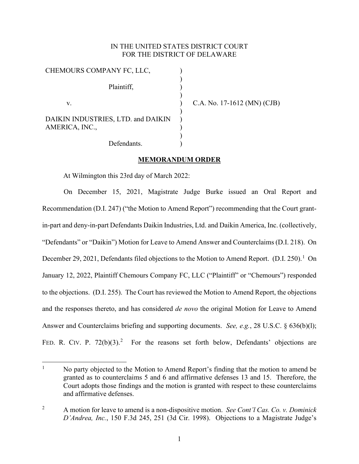# IN THE UNITED STATES DISTRICT COURT FOR THE DISTRICT OF DELAWARE

) ) ) ) ) ) ) ) ) )

| CHEMOURS COMPANY FC, LLC,                            |
|------------------------------------------------------|
| Plaintiff,                                           |
| V.                                                   |
| DAIKIN INDUSTRIES, LTD. and DAIKIN<br>AMERICA, INC., |
| Defendants.                                          |

C.A. No. 17-1612 (MN) (CJB)

### **MEMORANDUM ORDER**

At Wilmington this 23rd day of March 2022:

On December 15, 2021, Magistrate Judge Burke issued an Oral Report and Recommendation (D.I. 247) ("the Motion to Amend Report") recommending that the Court grantin-part and deny-in-part Defendants Daikin Industries, Ltd. and Daikin America, Inc. (collectively, "Defendants" or "Daikin") Motion for Leave to Amend Answer and Counterclaims (D.I. 218). On December 29, 202[1](#page-0-0), Defendants filed objections to the Motion to Amend Report. (D.I. 250).<sup>1</sup> On January 12, 2022, Plaintiff Chemours Company FC, LLC ("Plaintiff" or "Chemours") responded to the objections. (D.I. 255). The Court has reviewed the Motion to Amend Report, the objections and the responses thereto, and has considered *de novo* the original Motion for Leave to Amend Answer and Counterclaims briefing and supporting documents. *See, e.g.*, [28 U.S.C. § 636\(b\)\(l\);](http://www.google.com/search?q=28%2Bu.s.c.%2B%2B636(b)(l)) FED. R. CIV. P.  $72(b)(3)$ .<sup>[2](#page-0-1)</sup> For the reasons set forth below, Defendants' objections are

<span id="page-0-0"></span><sup>&</sup>lt;sup>1</sup> No party objected to the Motion to Amend Report's finding that the motion to amend be granted as to counterclaims 5 and 6 and affirmative defenses 13 and 15. Therefore, the Court adopts those findings and the motion is granted with respect to these counterclaims and affirmative defenses.

<span id="page-0-1"></span><sup>2</sup> A motion for leave to amend is a non-dispositive motion. *See Cont'l Cas. Co. v. Dominick D'Andrea, Inc.*, 150 F.3d 245, 251 (3d Cir. 1998). Objections to a Magistrate Judge's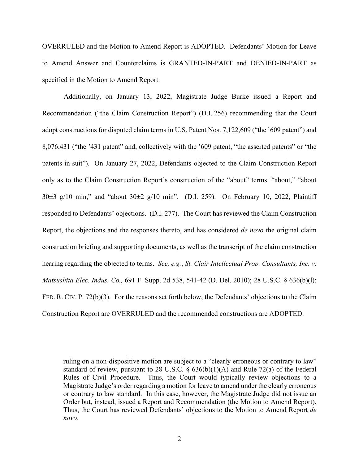OVERRULED and the Motion to Amend Report is ADOPTED. Defendants' Motion for Leave to Amend Answer and Counterclaims is GRANTED-IN-PART and DENIED-IN-PART as specified in the Motion to Amend Report.

Additionally, on January 13, 2022, Magistrate Judge Burke issued a Report and Recommendation ("the Claim Construction Report") (D.I. 256) recommending that the Court adopt constructions for disputed claim terms in U.S. Patent Nos. 7,122,609 ("the '609 patent") and 8,076,431 ("the '431 patent" and, collectively with the '609 patent, "the asserted patents" or "the patents-in-suit"). On January 27, 2022, Defendants objected to the Claim Construction Report only as to the Claim Construction Report's construction of the "about" terms: "about," "about  $30\pm3$  g/10 min," and "about  $30\pm2$  g/10 min". (D.I. 259). On February 10, 2022, Plaintiff responded to Defendants' objections. (D.I. 277). The Court has reviewed the Claim Construction Report, the objections and the responses thereto, and has considered *de novo* the original claim construction briefing and supporting documents, as well as the transcript of the claim construction hearing regarding the objected to terms. *See, e.g.*, *St. Clair Intellectual Prop. Consultants, Inc. v. Matsushita Elec. Indus. Co.,* [691 F. Supp. 2d 538, 541-42 \(](http://scholar.google.com/scholar?q=691%2Bf.%2Bsupp.%2B2d%2B538&btnG&hl=en&as_sdt=6)D. Del. 2010); [28 U.S.C. § 636\(b\)\(l\);](http://www.google.com/search?q=28%2Bu.s.c.%2B%2B636(b)(l)) FED. R. CIV. P. [72\(b\)\(3\)](http://www.google.com/search?q=FRCP%2B72(b)(3)). For the reasons set forth below, the Defendants' objections to the Claim Construction Report are OVERRULED and the recommended constructions are ADOPTED.

ruling on a non-dispositive motion are subject to a "clearly erroneous or contrary to law" standard of review, pursuant to 28 U.S.C.  $\S$  636(b)(1)(A) and Rule 72(a) of the Federal Rules of Civil Procedure. Thus, the Court would typically review objections to a Magistrate Judge's order regarding a motion for leave to amend under the clearly erroneous or contrary to law standard. In this case, however, the Magistrate Judge did not issue an Order but, instead, issued a Report and Recommendation (the Motion to Amend Report). Thus, the Court has reviewed Defendants' objections to the Motion to Amend Report *de novo*.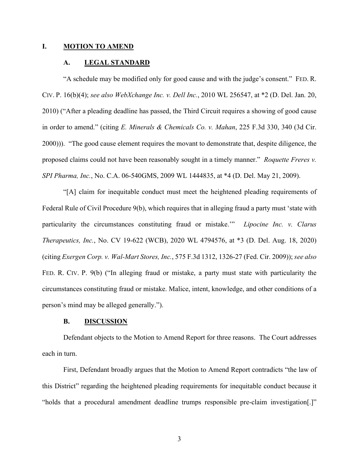### **I. MOTION TO AMEND**

## **A. LEGAL STANDARD**

"A schedule may be modified only for good cause and with the judge's consent." FED. R. CIV. P. 16(b)(4); *see also WebXchange Inc. v. Dell Inc.*, 2010 WL 256547, at \*2 (D. Del. Jan. 20, 2010) ("After a pleading deadline has passed, the Third Circuit requires a showing of good cause in order to amend." (citing *E. Minerals & Chemicals Co. v. Mahan*, 225 F.3d 330, 340 (3d Cir. 2000))). "The good cause element requires the movant to demonstrate that, despite diligence, the proposed claims could not have been reasonably sought in a timely manner." *Roquette Freres v. SPI Pharma, Inc.*, No. C.A. 06-540GMS, 2009 WL 1444835, at \*4 (D. Del. May 21, 2009).

"[A] claim for inequitable conduct must meet the heightened pleading requirements of Federal Rule of Civil Procedure 9(b), which requires that in alleging fraud a party must 'state with particularity the circumstances constituting fraud or mistake.'" *Lipocine Inc. v. Clarus Therapeutics, Inc.*, No. CV 19-622 (WCB), 2020 WL 4794576, at \*3 (D. Del. Aug. 18, 2020) (citing *Exergen Corp. v. Wal-Mart Stores, Inc.*, 575 F.3d 1312, 1326-27 (Fed. Cir. 2009)); *see also*  [FED.](http://www.google.com/search?q=FRCP%2B72(b)(3)) R. CIV. P. 9(b) ("In alleging fraud or mistake, a party must state with particularity the circumstances constituting fraud or mistake. Malice, intent, knowledge, and other conditions of a person's mind may be alleged generally.").

## **B. DISCUSSION**

Defendant objects to the Motion to Amend Report for three reasons. The Court addresses each in turn.

First, Defendant broadly argues that the Motion to Amend Report contradicts "the law of this District" regarding the heightened pleading requirements for inequitable conduct because it "holds that a procedural amendment deadline trumps responsible pre-claim investigation[.]"

3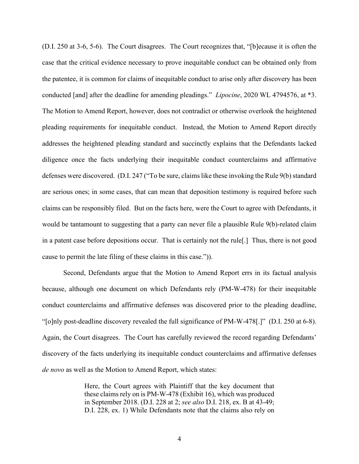(D.I. 250 at 3-6, 5-6). The Court disagrees. The Court recognizes that, "[b]ecause it is often the case that the critical evidence necessary to prove inequitable conduct can be obtained only from the patentee, it is common for claims of inequitable conduct to arise only after discovery has been conducted [and] after the deadline for amending pleadings." *Lipocine*, 2020 WL 4794576, at \*3. The Motion to Amend Report, however, does not contradict or otherwise overlook the heightened pleading requirements for inequitable conduct. Instead, the Motion to Amend Report directly addresses the heightened pleading standard and succinctly explains that the Defendants lacked diligence once the facts underlying their inequitable conduct counterclaims and affirmative defenses were discovered. (D.I. 247 ("To be sure, claims like these invoking the Rule 9(b) standard are serious ones; in some cases, that can mean that deposition testimony is required before such claims can be responsibly filed. But on the facts here, were the Court to agree with Defendants, it would be tantamount to suggesting that a party can never file a plausible Rule 9(b)-related claim in a patent case before depositions occur. That is certainly not the rule[.] Thus, there is not good cause to permit the late filing of these claims in this case.")).

Second, Defendants argue that the Motion to Amend Report errs in its factual analysis because, although one document on which Defendants rely (PM-W-478) for their inequitable conduct counterclaims and affirmative defenses was discovered prior to the pleading deadline, "[o]nly post-deadline discovery revealed the full significance of PM-W-478[.]" (D.I. 250 at 6-8). Again, the Court disagrees. The Court has carefully reviewed the record regarding Defendants' discovery of the facts underlying its inequitable conduct counterclaims and affirmative defenses *de novo* as well as the Motion to Amend Report, which states:

> Here, the Court agrees with Plaintiff that the key document that these claims rely on is PM-W-478 (Exhibit 16), which was produced in September 2018. (D.I. 228 at 2; *see also* D.I. 218, ex. B at 43-49; D.I. 228, ex. 1) While Defendants note that the claims also rely on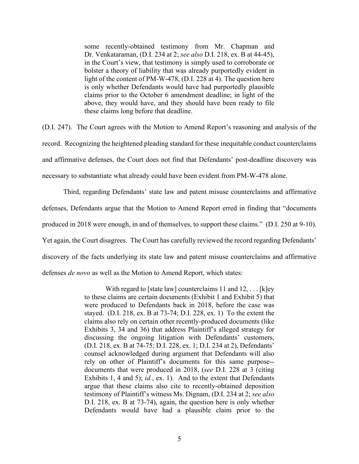some recently-obtained testimony from Mr. Chapman and Dr. Venkataraman, (D.I. 234 at 2; *see also* D.I. 218, ex. B at 44-45), in the Court's view, that testimony is simply used to corroborate or bolster a theory of liability that was already purportedly evident in light of the content of PM-W-478, (D.I. 228 at 4). The question here is only whether Defendants would have had purportedly plausible claims prior to the October 6 amendment deadline; in light of the above, they would have, and they should have been ready to file these claims long before that deadline.

(D.I. 247). The Court agrees with the Motion to Amend Report's reasoning and analysis of the record. Recognizing the heightened pleading standard for these inequitable conduct counterclaims and affirmative defenses, the Court does not find that Defendants' post-deadline discovery was necessary to substantiate what already could have been evident from PM-W-478 alone.

Third, regarding Defendants' state law and patent misuse counterclaims and affirmative defenses, Defendants argue that the Motion to Amend Report erred in finding that "documents produced in 2018 were enough, in and of themselves, to support these claims." (D.I. 250 at 9-10). Yet again, the Court disagrees. The Court has carefully reviewed the record regarding Defendants' discovery of the facts underlying its state law and patent misuse counterclaims and affirmative defenses *de novo* as well as the Motion to Amend Report, which states:

> With regard to [state law] counterclaims 11 and  $12, \ldots$  [k]ey to these claims are certain documents (Exhibit 1 and Exhibit 5) that were produced to Defendants back in 2018, before the case was stayed. (D.I. 218, ex. B at 73-74; D.I. 228, ex. 1) To the extent the claims also rely on certain other recently-produced documents (like Exhibits 3, 34 and 36) that address Plaintiff's alleged strategy for discussing the ongoing litigation with Defendants' customers, (D.I. 218, ex. B at 74-75; D.I. 228, ex. 1; D.I. 234 at 2), Defendants' counsel acknowledged during argument that Defendants will also rely on other of Plaintiff's documents for this same purpose- documents that were produced in 2018, (*see* D.I. 228 at 3 (citing Exhibits 1, 4 and 5); *id.*, ex. 1). And to the extent that Defendants argue that these claims also cite to recently-obtained deposition testimony of Plaintiff's witness Ms. Dignam, (D.I. 234 at 2; *see also* D.I. 218, ex. B at 73-74), again, the question here is only whether Defendants would have had a plausible claim prior to the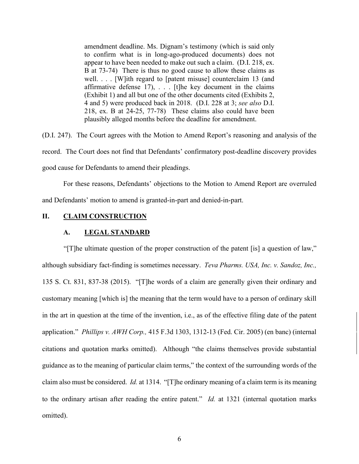amendment deadline. Ms. Dignam's testimony (which is said only to confirm what is in long-ago-produced documents) does not appear to have been needed to make out such a claim. (D.I. 218, ex. B at 73-74) There is thus no good cause to allow these claims as well. . . . [W]ith regard to [patent misuse] counterclaim 13 (and affirmative defense  $17$ ), . . . [t]he key document in the claims (Exhibit 1) and all but one of the other documents cited (Exhibits 2, 4 and 5) were produced back in 2018. (D.I. 228 at 3; *see also* D.I. 218, ex. B at 24-25, 77-78) These claims also could have been plausibly alleged months before the deadline for amendment.

(D.I. 247). The Court agrees with the Motion to Amend Report's reasoning and analysis of the record. The Court does not find that Defendants' confirmatory post-deadline discovery provides good cause for Defendants to amend their pleadings.

For these reasons, Defendants' objections to the Motion to Amend Report are overruled and Defendants' motion to amend is granted-in-part and denied-in-part.

# **II. CLAIM CONSTRUCTION**

## **A. LEGAL STANDARD**

"[T]he ultimate question of the proper construction of the patent [is] a question of law," although subsidiary fact-finding is sometimes necessary. *Teva Pharms. USA, Inc. v. Sandoz, Inc.,*  [135 S. Ct. 831, 837-38 \(](http://scholar.google.com/scholar?q=135%2Bs.%2Bct.%2B831&btnG&hl=en&as_sdt=6)2015). "[T]he words of a claim are generally given their ordinary and customary meaning [which is] the meaning that the term would have to a person of ordinary skill in the art in question at the time of the invention, i.e., as of the effective filing date of the patent application." *Phillips v. AWH Corp.,* [415 F.3d 1303, 1312-13 \(](http://scholar.google.com/scholar?q=415%2Bf.3d%2B1303&btnG&hl=en&as_sdt=6)Fed. Cir. 2005) (en banc) (internal citations and quotation marks omitted). Although "the claims themselves provide substantial guidance as to the meaning of particular claim terms," the context of the surrounding words of the claim also must be considered. *Id.* at 1314. "[T]he ordinary meaning of a claim term is its meaning to the ordinary artisan after reading the entire patent." *Id.* at 1321 (internal quotation marks omitted).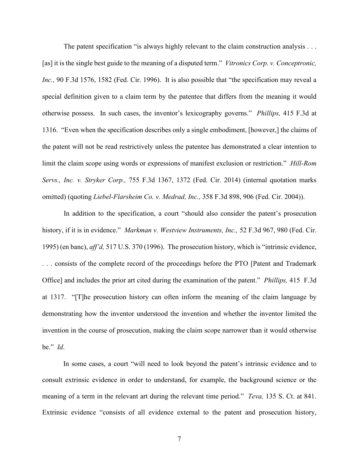The patent specification "is always highly relevant to the claim construction analysis . . . [as] it is the single best guide to the meaning of a disputed term." *Vitronics Corp. v. Conceptronic, Inc.,* [90 F.3d 1576, 1582 \(](http://scholar.google.com/scholar?q=90%2Bf.3d%2B1576&btnG&hl=en&as_sdt=6)Fed. Cir. 1996). It is also possible that "the specification may reveal a special definition given to a claim term by the patentee that differs from the meaning it would otherwise possess. In such cases, the inventor's lexicography governs." *Phillips,* [415 F.3d at](http://scholar.google.com/scholar?q=415%2Bf.3d%2B1303&btnG&hl=en&as_sdt=6) [1316.](http://scholar.google.com/scholar?q=415%2Bf.3d%2B1303&btnG&hl=en&as_sdt=6) "Even when the specification describes only a single embodiment, [however,] the claims of the patent will not be read restrictively unless the patentee has demonstrated a clear intention to limit the claim scope using words or expressions of manifest exclusion or restriction." *Hill-Rom Servs., Inc. v. Stryker Corp.,* [755 F.3d 1367, 1372](http://scholar.google.com/scholar?q=755%2Bf.3d%2B%2B1367&btnG&hl=en&as_sdt=6) (Fed. Cir. 2014) (internal quotation marks omitted) (quoting *Liebel-Flarsheim Co. v. Medrad, Inc.,* [358 F.3d 898, 906 \(](http://scholar.google.com/scholar?q=358%2Bf.3d%2B898&btnG&hl=en&as_sdt=6)Fed. Cir. 2004)).

In addition to the specification, a court "should also consider the patent's prosecution history, if it is in evidence." *Markman v. Westview Instruments, Inc.,* [52 F.3d 967,](http://scholar.google.com/scholar?q=52%2Bf.3d%2B967&btnG&hl=en&as_sdt=6) 980 (Fed. Cir. 1995) (en banc), *aff'd,* [517 U.S. 370 \(](http://scholar.google.com/scholar?q=517%2Bu.s.%2B370&btnG&hl=en&as_sdt=6)1996). The prosecution history, which is "intrinsic evidence, . . . consists of the complete record of the proceedings before the PTO [Patent and Trademark Office] and includes the prior art cited during the examination of the patent." *Phillips,* [415 F.3d](http://scholar.google.com/scholar?q=415%2Bf.3d%2B1303&btnG&hl=en&as_sdt=6) [at 1317.](http://scholar.google.com/scholar?q=415%2Bf.3d%2B1303&btnG&hl=en&as_sdt=6) "[T]he prosecution history can often inform the meaning of the claim language by demonstrating how the inventor understood the invention and whether the inventor limited the invention in the course of prosecution, making the claim scope narrower than it would otherwise be." *Id*.

In some cases, a court "will need to look beyond the patent's intrinsic evidence and to consult extrinsic evidence in order to understand, for example, the background science or the meaning of a term in the relevant art during the relevant time period." *Teva,* [135 S. Ct. at 841.](http://scholar.google.com/scholar?q=135%2Bs.%2Bct.%2B831&btnG&hl=en&as_sdt=6) Extrinsic evidence "consists of all evidence external to the patent and prosecution history,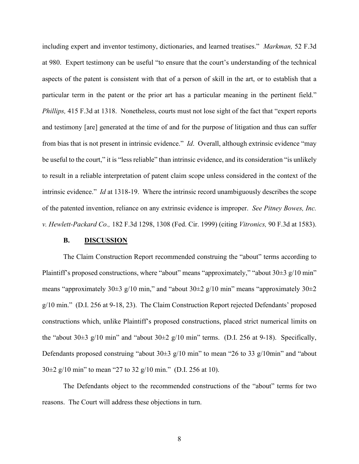including expert and inventor testimony, dictionaries, and learned treatises." *Markman,* [52 F.3d](http://scholar.google.com/scholar?q=52%2Bf.3d%2B967&btnG&hl=en&as_sdt=6) [at 980.](http://scholar.google.com/scholar?q=52%2Bf.3d%2B967&btnG&hl=en&as_sdt=6) Expert testimony can be useful "to ensure that the court's understanding of the technical aspects of the patent is consistent with that of a person of skill in the art, or to establish that a particular term in the patent or the prior art has a particular meaning in the pertinent field." *Phillips,* [415 F.3d at 1318.](http://scholar.google.com/scholar?q=415%2Bf.3d%2B1303&btnG&hl=en&as_sdt=6) Nonetheless, courts must not lose sight of the fact that "expert reports" and testimony [are] generated at the time of and for the purpose of litigation and thus can suffer from bias that is not present in intrinsic evidence." *Id*. Overall, although extrinsic evidence "may be useful to the court," it is "less reliable" than intrinsic evidence, and its consideration "is unlikely to result in a reliable interpretation of patent claim scope unless considered in the context of the intrinsic evidence." *Id* at 1318-19. Where the intrinsic record unambiguously describes the scope of the patented invention, reliance on any extrinsic evidence is improper. *See Pitney Bowes, Inc. v. Hewlett-Packard Co.,* [182 F.3d 1298, 1308 \(](http://scholar.google.com/scholar?q=182%2Bf.3d%2B1298&btnG&hl=en&as_sdt=6)Fed. Cir. 1999) (citing *Vitronics,* [90 F.3d at 1583\)](http://scholar.google.com/scholar?q=90%2Bf.3d%2B1576&btnG&hl=en&as_sdt=6).

### **B. DISCUSSION**

The Claim Construction Report recommended construing the "about" terms according to Plaintiff's proposed constructions, where "about" means "approximately," "about  $30\pm3$  g/10 min" means "approximately 30 $\pm$ 3 g/10 min," and "about 30 $\pm$ 2 g/10 min" means "approximately 30 $\pm$ 2 g/10 min." (D.I. 256 at 9-18, 23). The Claim Construction Report rejected Defendants' proposed constructions which, unlike Plaintiff's proposed constructions, placed strict numerical limits on the "about  $30\pm3$  g/10 min" and "about  $30\pm2$  g/10 min" terms. (D.I. 256 at 9-18). Specifically, Defendants proposed construing "about  $30\pm 3$  g/10 min" to mean "26 to 33 g/10min" and "about 30±2 g/10 min" to mean "27 to 32 g/10 min." (D.I. 256 at 10).

The Defendants object to the recommended constructions of the "about" terms for two reasons. The Court will address these objections in turn.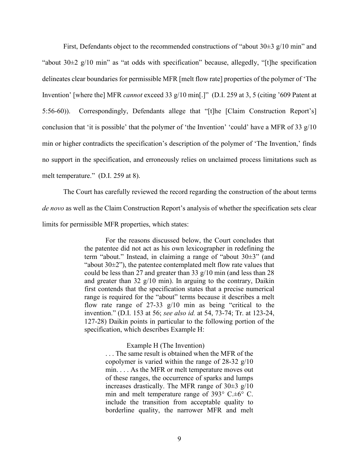First, Defendants object to the recommended constructions of "about  $30\pm3$  g/10 min" and "about  $30\pm2$  g/10 min" as "at odds with specification" because, allegedly, "[t] he specification delineates clear boundaries for permissible MFR [melt flow rate] properties of the polymer of 'The Invention' [where the] MFR *cannot* exceed 33 g/10 min[.]" (D.I. 259 at 3, 5 (citing '609 Patent at 5:56-60)). Correspondingly, Defendants allege that "[t]he [Claim Construction Report's] conclusion that 'it is possible' that the polymer of 'the Invention' 'could' have a MFR of 33 g/10 min or higher contradicts the specification's description of the polymer of 'The Invention,' finds no support in the specification, and erroneously relies on unclaimed process limitations such as melt temperature." (D.I. 259 at 8).

The Court has carefully reviewed the record regarding the construction of the about terms *de novo* as well as the Claim Construction Report's analysis of whether the specification sets clear limits for permissible MFR properties, which states:

> For the reasons discussed below, the Court concludes that the patentee did not act as his own lexicographer in redefining the term "about." Instead, in claiming a range of "about 30±3" (and "about  $30\pm2$ "), the patentee contemplated melt flow rate values that could be less than 27 and greater than 33 g/10 min (and less than 28 and greater than  $32 \frac{\text{g}}{10}$  min). In arguing to the contrary, Daikin first contends that the specification states that a precise numerical range is required for the "about" terms because it describes a melt flow rate range of 27-33 g/10 min as being "critical to the invention." (D.I. 153 at 56; *see also id.* at 54, 73-74; Tr. at 123-24, 127-28) Daikin points in particular to the following portion of the specification, which describes Example H:

#### Example H (The Invention)

. . . The same result is obtained when the MFR of the copolymer is varied within the range of 28-32 g/10 min. . . . As the MFR or melt temperature moves out of these ranges, the occurrence of sparks and lumps increases drastically. The MFR range of  $30\pm 3$  g/10 min and melt temperature range of 393° C.±6° C. include the transition from acceptable quality to borderline quality, the narrower MFR and melt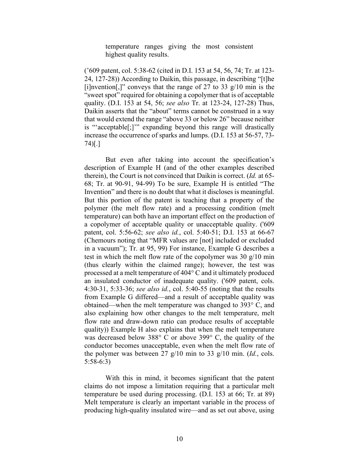temperature ranges giving the most consistent highest quality results.

('609 patent, col. 5:38-62 (cited in D.I. 153 at 54, 56, 74; Tr. at 123- 24, 127-28)) According to Daikin, this passage, in describing "[t]he [i]nvention[,]" conveys that the range of 27 to 33  $g/10$  min is the "sweet spot" required for obtaining a copolymer that is of acceptable quality. (D.I. 153 at 54, 56; *see also* Tr. at 123-24, 127-28) Thus, Daikin asserts that the "about" terms cannot be construed in a way that would extend the range "above 33 or below 26" because neither is "'acceptable[;]'" expanding beyond this range will drastically increase the occurrence of sparks and lumps. (D.I. 153 at 56-57, 73- 74)[.]

But even after taking into account the specification's description of Example H (and of the other examples described therein), the Court is not convinced that Daikin is correct. (*Id.* at 65- 68; Tr. at 90-91, 94-99) To be sure, Example H is entitled "The Invention" and there is no doubt that what it discloses is meaningful. But this portion of the patent is teaching that a property of the polymer (the melt flow rate) and a processing condition (melt temperature) can both have an important effect on the production of a copolymer of acceptable quality or unacceptable quality. ('609 patent, col. 5:56-62; *see also id.*, col. 5:40-51; D.I. 153 at 66-67 (Chemours noting that "MFR values are [not] included or excluded in a vacuum"); Tr. at 95, 99) For instance, Example G describes a test in which the melt flow rate of the copolymer was 30 g/10 min (thus clearly within the claimed range); however, the test was processed at a melt temperature of 404° C and it ultimately produced an insulated conductor of inadequate quality. ('609 patent, cols. 4:30-31, 5:33-36; *see also id.*, col. 5:40-55 (noting that the results from Example G differed—and a result of acceptable quality was obtained—when the melt temperature was changed to 393° C, and also explaining how other changes to the melt temperature, melt flow rate and draw-down ratio can produce results of acceptable quality)) Example H also explains that when the melt temperature was decreased below 388° C or above 399° C, the quality of the conductor becomes unacceptable, even when the melt flow rate of the polymer was between 27 g/10 min to 33 g/10 min. (*Id.*, cols. 5:58-6:3)

With this in mind, it becomes significant that the patent claims do not impose a limitation requiring that a particular melt temperature be used during processing. (D.I. 153 at 66; Tr. at 89) Melt temperature is clearly an important variable in the process of producing high-quality insulated wire—and as set out above, using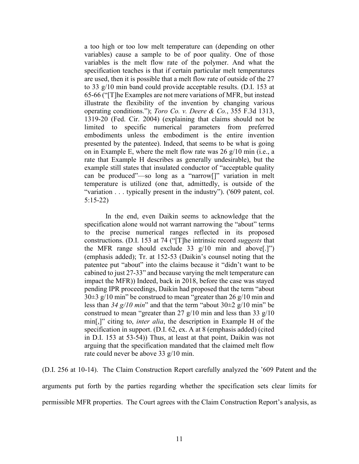a too high or too low melt temperature can (depending on other variables) cause a sample to be of poor quality. One of those variables is the melt flow rate of the polymer. And what the specification teaches is that if certain particular melt temperatures are used, then it is possible that a melt flow rate of outside of the 27 to 33 g/10 min band could provide acceptable results. (D.I. 153 at 65-66 ("[T]he Examples are not mere variations of MFR, but instead illustrate the flexibility of the invention by changing various operating conditions."); *Toro Co. v. Deere & Co.*, 355 F.3d 1313, 1319-20 (Fed. Cir. 2004) (explaining that claims should not be limited to specific numerical parameters from preferred embodiments unless the embodiment is the entire invention presented by the patentee). Indeed, that seems to be what is going on in Example E, where the melt flow rate was 26 g/10 min (i.e., a rate that Example H describes as generally undesirable), but the example still states that insulated conductor of "acceptable quality can be produced"—so long as a "narrow[]" variation in melt temperature is utilized (one that, admittedly, is outside of the "variation . . . typically present in the industry"). ('609 patent, col. 5:15-22)

In the end, even Daikin seems to acknowledge that the specification alone would not warrant narrowing the "about" terms to the precise numerical ranges reflected in its proposed constructions. (D.I. 153 at 74 ("[T]he intrinsic record *suggests* that the MFR range should exclude 33  $g/10$  min and above[.]") (emphasis added); Tr. at 152-53 (Daikin's counsel noting that the patentee put "about" into the claims because it "didn't want to be cabined to just 27-33" and because varying the melt temperature can impact the MFR)) Indeed, back in 2018, before the case was stayed pending IPR proceedings, Daikin had proposed that the term "about  $30\pm3$  g/10 min" be construed to mean "greater than 26 g/10 min and less than *34 g/10 min*" and that the term "about 30±2 g/10 min" be construed to mean "greater than 27  $g/10$  min and less than 33  $g/10$ min[,]" citing to, *inter alia*, the description in Example H of the specification in support. (D.I. 62, ex. A at 8 (emphasis added) (cited in D.I. 153 at 53-54)) Thus, at least at that point, Daikin was not arguing that the specification mandated that the claimed melt flow rate could never be above 33 g/10 min.

(D.I. 256 at 10-14). The Claim Construction Report carefully analyzed the '609 Patent and the arguments put forth by the parties regarding whether the specification sets clear limits for permissible MFR properties. The Court agrees with the Claim Construction Report's analysis, as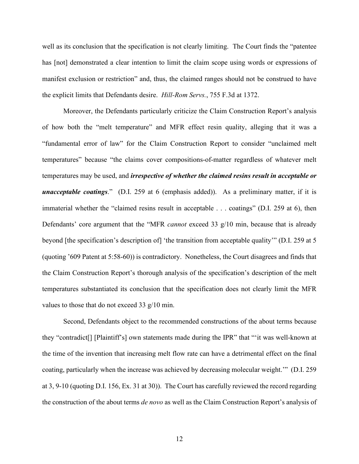well as its conclusion that the specification is not clearly limiting. The Court finds the "patentee has [not] demonstrated a clear intention to limit the claim scope using words or expressions of manifest exclusion or restriction" and, thus, the claimed ranges should not be construed to have the explicit limits that Defendants desire. *Hill-Rom Servs.*, [755 F.3d at](http://scholar.google.com/scholar?q=755%2Bf.3d%2B%2B1367&btnG&hl=en&as_sdt=6) 1372.

Moreover, the Defendants particularly criticize the Claim Construction Report's analysis of how both the "melt temperature" and MFR effect resin quality, alleging that it was a "fundamental error of law" for the Claim Construction Report to consider "unclaimed melt temperatures" because "the claims cover compositions-of-matter regardless of whatever melt temperatures may be used, and *irrespective of whether the claimed resins result in acceptable or unacceptable coatings*." (D.I. 259 at 6 (emphasis added)). As a preliminary matter, if it is immaterial whether the "claimed resins result in acceptable . . . coatings" (D.I. 259 at 6), then Defendants' core argument that the "MFR *cannot* exceed 33 g/10 min, because that is already beyond [the specification's description of] 'the transition from acceptable quality'" (D.I. 259 at 5 (quoting '609 Patent at 5:58-60)) is contradictory. Nonetheless, the Court disagrees and finds that the Claim Construction Report's thorough analysis of the specification's description of the melt temperatures substantiated its conclusion that the specification does not clearly limit the MFR values to those that do not exceed 33 g/10 min.

Second, Defendants object to the recommended constructions of the about terms because they "contradict[] [Plaintiff's] own statements made during the IPR" that "'it was well-known at the time of the invention that increasing melt flow rate can have a detrimental effect on the final coating, particularly when the increase was achieved by decreasing molecular weight.'" (D.I. 259 at 3, 9-10 (quoting D.I. 156, Ex. 31 at 30)). The Court has carefully reviewed the record regarding the construction of the about terms *de novo* as well as the Claim Construction Report's analysis of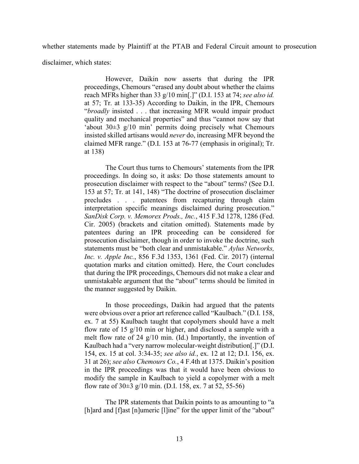whether statements made by Plaintiff at the PTAB and Federal Circuit amount to prosecution

disclaimer, which states:

However, Daikin now asserts that during the IPR proceedings, Chemours "erased any doubt about whether the claims reach MFRs higher than 33 g/10 min[.]" (D.I. 153 at 74; *see also id.* at 57; Tr. at 133-35) According to Daikin, in the IPR, Chemours "*broadly* insisted . . . that increasing MFR would impair product quality and mechanical properties" and thus "cannot now say that 'about 30±3 g/10 min' permits doing precisely what Chemours insisted skilled artisans would *never* do, increasing MFR beyond the claimed MFR range." (D.I. 153 at 76-77 (emphasis in original); Tr. at 138)

The Court thus turns to Chemours' statements from the IPR proceedings. In doing so, it asks: Do those statements amount to prosecution disclaimer with respect to the "about" terms? (See D.I. 153 at 57; Tr. at 141, 148) "The doctrine of prosecution disclaimer precludes . . . patentees from recapturing through claim interpretation specific meanings disclaimed during prosecution." *SanDisk Corp. v. Memorex Prods., Inc.*, 415 F.3d 1278, 1286 (Fed. Cir. 2005) (brackets and citation omitted). Statements made by patentees during an IPR proceeding can be considered for prosecution disclaimer, though in order to invoke the doctrine, such statements must be "both clear and unmistakable." *Aylus Networks, Inc. v. Apple Inc.*, 856 F.3d 1353, 1361 (Fed. Cir. 2017) (internal quotation marks and citation omitted). Here, the Court concludes that during the IPR proceedings, Chemours did not make a clear and unmistakable argument that the "about" terms should be limited in the manner suggested by Daikin.

In those proceedings, Daikin had argued that the patents were obvious over a prior art reference called "Kaulbach." (D.I. 158, ex. 7 at 55) Kaulbach taught that copolymers should have a melt flow rate of 15 g/10 min or higher, and disclosed a sample with a melt flow rate of 24 g/10 min. (Id.) Importantly, the invention of Kaulbach had a "very narrow molecular-weight distribution[.]" (D.I. 154, ex. 15 at col. 3:34-35; *see also id.*, ex. 12 at 12; D.I. 156, ex. 31 at 26); *see also Chemours Co.*, 4 F.4th at 1375. Daikin's position in the IPR proceedings was that it would have been obvious to modify the sample in Kaulbach to yield a copolymer with a melt flow rate of  $30\pm 3$  g/10 min. (D.I. 158, ex. 7 at 52, 55-56)

The IPR statements that Daikin points to as amounting to "a [h]ard and [f]ast [n]umeric [l]ine" for the upper limit of the "about"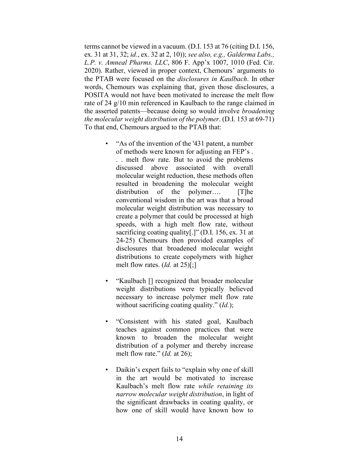terms cannot be viewed in a vacuum. (D.I. 153 at 76 (citing D.I. 156, ex. 31 at 31, 32; *id.*, ex. 32 at 2, 10)); *see also, e.g., Galderma Labs., L.P. v. Amneal Pharms. LLC*, 806 F. App'x 1007, 1010 (Fed. Cir. 2020). Rather, viewed in proper context, Chemours' arguments to the PTAB were focused on the *disclosures in Kaulbach*. In other words, Chemours was explaining that, given those disclosures, a POSITA would not have been motivated to increase the melt flow rate of 24 g/10 min referenced in Kaulbach to the range claimed in the asserted patents—because doing so would involve *broadening the molecular weight distribution of the polymer*. (D.I. 153 at 69-71) To that end, Chemours argued to the PTAB that:

- "As of the invention of the '431 patent, a number of methods were known for adjusting an FEP's . . . melt flow rate. But to avoid the problems discussed above associated with overall molecular weight reduction, these methods often resulted in broadening the molecular weight distribution of the polymer.... [T]he conventional wisdom in the art was that a broad molecular weight distribution was necessary to create a polymer that could be processed at high speeds, with a high melt flow rate, without sacrificing coating quality[.]" (D.I. 156, ex. 31 at 24-25) Chemours then provided examples of disclosures that broadened molecular weight distributions to create copolymers with higher melt flow rates. (*Id.* at 25)[;]
- "Kaulbach [] recognized that broader molecular weight distributions were typically believed necessary to increase polymer melt flow rate without sacrificing coating quality." (*Id.*);
- "Consistent with his stated goal, Kaulbach teaches against common practices that were known to broaden the molecular weight distribution of a polymer and thereby increase melt flow rate." (*Id.* at 26);
- Daikin's expert fails to "explain why one of skill in the art would be motivated to increase Kaulbach's melt flow rate *while retaining its narrow molecular weight distribution*, in light of the significant drawbacks in coating quality, or how one of skill would have known how to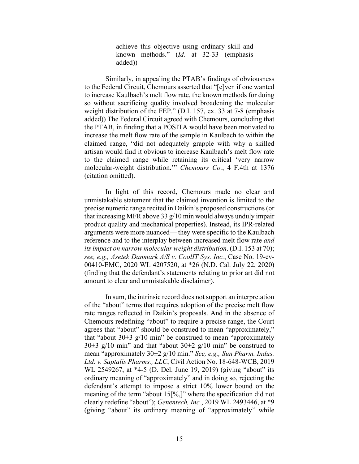achieve this objective using ordinary skill and known methods." (*Id.* at 32-33 (emphasis added))

Similarly, in appealing the PTAB's findings of obviousness to the Federal Circuit, Chemours asserted that "[e]ven if one wanted to increase Kaulbach's melt flow rate, the known methods for doing so without sacrificing quality involved broadening the molecular weight distribution of the FEP." (D.I. 157, ex. 33 at 7-8 (emphasis added)) The Federal Circuit agreed with Chemours, concluding that the PTAB, in finding that a POSITA would have been motivated to increase the melt flow rate of the sample in Kaulbach to within the claimed range, "did not adequately grapple with why a skilled artisan would find it obvious to increase Kaulbach's melt flow rate to the claimed range while retaining its critical 'very narrow molecular-weight distribution.'" *Chemours Co.*, 4 F.4th at 1376 (citation omitted).

In light of this record, Chemours made no clear and unmistakable statement that the claimed invention is limited to the precise numeric range recited in Daikin's proposed constructions (or that increasing MFR above 33 g/10 min would always unduly impair product quality and mechanical properties). Instead, its IPR-related arguments were more nuanced— they were specific to the Kaulbach reference and to the interplay between increased melt flow rate *and its impact on narrow molecular weight distribution*. (D.I. 153 at 70); *see, e.g., Asetek Danmark A/S v. CoolIT Sys. Inc.*, Case No. 19-cv-00410-EMC, 2020 WL 4207520, at \*26 (N.D. Cal. July 22, 2020) (finding that the defendant's statements relating to prior art did not amount to clear and unmistakable disclaimer).

In sum, the intrinsic record does not support an interpretation of the "about" terms that requires adoption of the precise melt flow rate ranges reflected in Daikin's proposals. And in the absence of Chemours redefining "about" to require a precise range, the Court agrees that "about" should be construed to mean "approximately," that "about  $30\pm 3$  g/10 min" be construed to mean "approximately 30 $\pm$ 3 g/10 min" and that "about 30 $\pm$ 2 g/10 min" be construed to mean "approximately 30±2 g/10 min." *See, e.g., Sun Pharm. Indus. Ltd. v. Saptalis Pharms., LLC*, Civil Action No. 18-648-WCB, 2019 WL 2549267, at \*4-5 (D. Del. June 19, 2019) (giving "about" its ordinary meaning of "approximately" and in doing so, rejecting the defendant's attempt to impose a strict 10% lower bound on the meaning of the term "about 15[%,]" where the specification did not clearly redefine "about"); *Genentech, Inc.*, 2019 WL 2493446, at \*9 (giving "about" its ordinary meaning of "approximately" while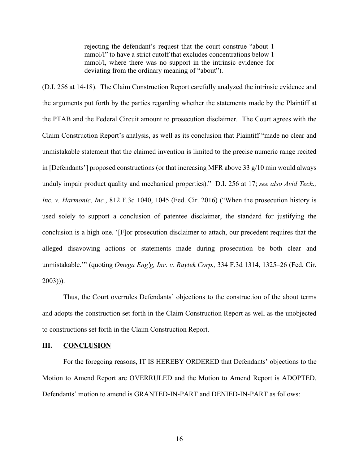rejecting the defendant's request that the court construe "about 1 mmol/l" to have a strict cutoff that excludes concentrations below 1 mmol/l, where there was no support in the intrinsic evidence for deviating from the ordinary meaning of "about").

(D.I. 256 at 14-18). The Claim Construction Report carefully analyzed the intrinsic evidence and the arguments put forth by the parties regarding whether the statements made by the Plaintiff at the PTAB and the Federal Circuit amount to prosecution disclaimer. The Court agrees with the Claim Construction Report's analysis, as well as its conclusion that Plaintiff "made no clear and unmistakable statement that the claimed invention is limited to the precise numeric range recited in [Defendants'] proposed constructions (or that increasing MFR above 33 g/10 min would always unduly impair product quality and mechanical properties)." D.I. 256 at 17; *see also Avid Tech., Inc. v. Harmonic, Inc.*, 812 F.3d 1040, 1045 (Fed. Cir. 2016) ("When the prosecution history is used solely to support a conclusion of patentee disclaimer, the standard for justifying the conclusion is a high one. '[F]or prosecution disclaimer to attach, our precedent requires that the alleged disavowing actions or statements made during prosecution be both clear and unmistakable.'" (quoting *Omega Eng'g, Inc. v. Raytek Corp.,* 334 F.3d 1314, 1325–26 (Fed. Cir. 2003))).

Thus, the Court overrules Defendants' objections to the construction of the about terms and adopts the construction set forth in the Claim Construction Report as well as the unobjected to constructions set forth in the Claim Construction Report.

## **III. CONCLUSION**

For the foregoing reasons, IT IS HEREBY ORDERED that Defendants' objections to the Motion to Amend Report are OVERRULED and the Motion to Amend Report is ADOPTED. Defendants' motion to amend is GRANTED-IN-PART and DENIED-IN-PART as follows: